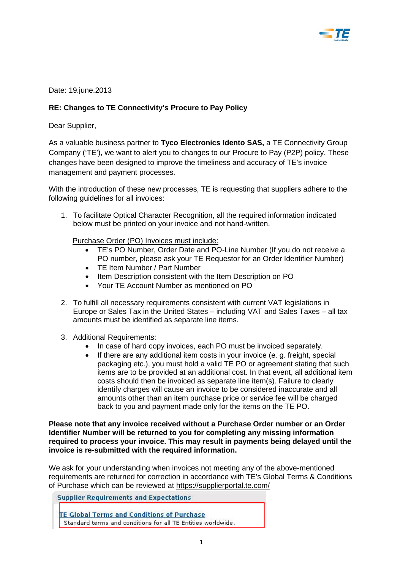

Date: 19.june.2013

## **RE: Changes to TE Connectivity's Procure to Pay Policy**

Dear Supplier,

As a valuable business partner to **Tyco Electronics Idento SAS,** a TE Connectivity Group Company ('TE'), we want to alert you to changes to our Procure to Pay (P2P) policy. These changes have been designed to improve the timeliness and accuracy of TE's invoice management and payment processes.

With the introduction of these new processes, TE is requesting that suppliers adhere to the following guidelines for all invoices:

1. To facilitate Optical Character Recognition, all the required information indicated below must be printed on your invoice and not hand-written.

Purchase Order (PO) Invoices must include:

- TE's PO Number, Order Date and PO-Line Number (If you do not receive a PO number, please ask your TE Requestor for an Order Identifier Number)
- TE Item Number / Part Number
- Item Description consistent with the Item Description on PO
- Your TE Account Number as mentioned on PO
- 2. To fulfill all necessary requirements consistent with current VAT legislations in Europe or Sales Tax in the United States – including VAT and Sales Taxes – all tax amounts must be identified as separate line items.
- 3. Additional Requirements:
	- In case of hard copy invoices, each PO must be invoiced separately.
	- If there are any additional item costs in your invoice (e. g. freight, special packaging etc.), you must hold a valid TE PO or agreement stating that such items are to be provided at an additional cost. In that event, all additional item costs should then be invoiced as separate line item(s). Failure to clearly identify charges will cause an invoice to be considered inaccurate and all amounts other than an item purchase price or service fee will be charged back to you and payment made only for the items on the TE PO.

**Please note that any invoice received without a Purchase Order number or an Order Identifier Number will be returned to you for completing any missing information required to process your invoice. This may result in payments being delayed until the invoice is re-submitted with the required information.** 

We ask for your understanding when invoices not meeting any of the above-mentioned requirements are returned for correction in accordance with TE's Global Terms & Conditions of Purchase which can be reviewed at<https://supplierportal.te.com/>

**Supplier Requirements and Expectations** 

**TE Global Terms and Conditions of Purchase** Standard terms and conditions for all TE Entities worldwide.